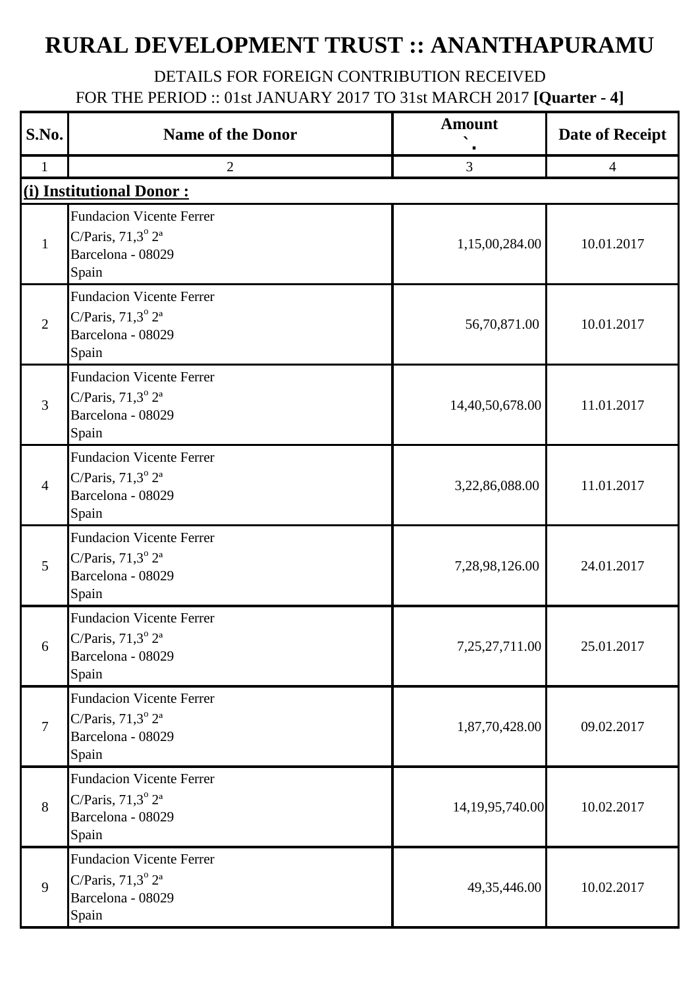## **RURAL DEVELOPMENT TRUST :: ANANTHAPURAMU**

## DETAILS FOR FOREIGN CONTRIBUTION RECEIVED FOR THE PERIOD :: 01st JANUARY 2017 TO 31st MARCH 2017 **[Quarter - 4]**

| S.No.          | <b>Name of the Donor</b>                                                                           | <b>Amount</b>      | <b>Date of Receipt</b> |
|----------------|----------------------------------------------------------------------------------------------------|--------------------|------------------------|
| $\mathbf{1}$   | $\overline{2}$                                                                                     | $\overline{3}$     | $\overline{4}$         |
|                | (i) Institutional Donor:                                                                           |                    |                        |
| $\mathbf{1}$   | <b>Fundacion Vicente Ferrer</b><br>C/Paris, $71,3^{\circ} 2^{\circ}$<br>Barcelona - 08029<br>Spain | 1,15,00,284.00     | 10.01.2017             |
| 2              | <b>Fundacion Vicente Ferrer</b><br>C/Paris, $71,3^{\circ} 2^{\circ}$<br>Barcelona - 08029<br>Spain | 56,70,871.00       | 10.01.2017             |
| 3              | <b>Fundacion Vicente Ferrer</b><br>C/Paris, $71,3^{\circ} 2^{\circ}$<br>Barcelona - 08029<br>Spain | 14,40,50,678.00    | 11.01.2017             |
| $\overline{4}$ | <b>Fundacion Vicente Ferrer</b><br>C/Paris, $71,3^{\circ} 2^{\circ}$<br>Barcelona - 08029<br>Spain | 3,22,86,088.00     | 11.01.2017             |
| 5              | <b>Fundacion Vicente Ferrer</b><br>C/Paris, $71,3^{\circ} 2^{\circ}$<br>Barcelona - 08029<br>Spain | 7,28,98,126.00     | 24.01.2017             |
| 6              | <b>Fundacion Vicente Ferrer</b><br>C/Paris, $71,3^{\circ}2^{\circ}$<br>Barcelona - 08029<br>Spain  | 7,25,27,711.00     | 25.01.2017             |
| $\overline{7}$ | <b>Fundacion Vicente Ferrer</b><br>C/Paris, $71,3^{\circ} 2^{\circ}$<br>Barcelona - 08029<br>Spain | 1,87,70,428.00     | 09.02.2017             |
| 8              | <b>Fundacion Vicente Ferrer</b><br>C/Paris, $71,3^{\circ} 2^{\circ}$<br>Barcelona - 08029<br>Spain | 14, 19, 95, 740.00 | 10.02.2017             |
| 9              | <b>Fundacion Vicente Ferrer</b><br>C/Paris, $71,3^{\circ} 2^{\circ}$<br>Barcelona - 08029<br>Spain | 49, 35, 446.00     | 10.02.2017             |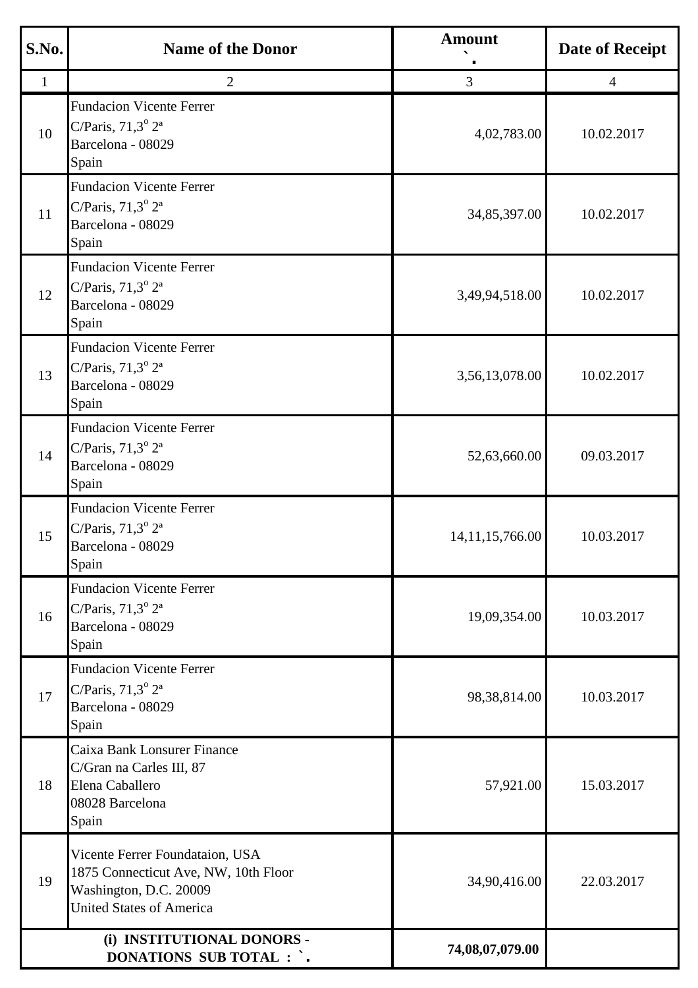| S.No.        | <b>Name of the Donor</b>                                                                                                             | <b>Amount</b>      | <b>Date of Receipt</b> |
|--------------|--------------------------------------------------------------------------------------------------------------------------------------|--------------------|------------------------|
| $\mathbf{1}$ | $\overline{2}$                                                                                                                       | $\mathfrak{Z}$     | $\overline{4}$         |
| 10           | <b>Fundacion Vicente Ferrer</b><br>C/Paris, $71,3^{\circ} 2^{\circ}$<br>Barcelona - 08029<br>Spain                                   | 4,02,783.00        | 10.02.2017             |
| 11           | <b>Fundacion Vicente Ferrer</b><br>C/Paris, $71,3^{\circ} 2^{\circ}$<br>Barcelona - 08029<br>Spain                                   | 34,85,397.00       | 10.02.2017             |
| 12           | <b>Fundacion Vicente Ferrer</b><br>C/Paris, $71,3^{\circ} 2^{\circ}$<br>Barcelona - 08029<br>Spain                                   | 3,49,94,518.00     | 10.02.2017             |
| 13           | <b>Fundacion Vicente Ferrer</b><br>C/Paris, $71,3^{\circ} 2^{\circ}$<br>Barcelona - 08029<br>Spain                                   | 3,56,13,078.00     | 10.02.2017             |
| 14           | <b>Fundacion Vicente Ferrer</b><br>C/Paris, $71,3^{\circ} 2^{\circ}$<br>Barcelona - 08029<br>Spain                                   | 52,63,660.00       | 09.03.2017             |
| 15           | <b>Fundacion Vicente Ferrer</b><br>C/Paris, $71,3^{\circ} 2^{\circ}$<br>Barcelona - 08029<br>Spain                                   | 14, 11, 15, 766.00 | 10.03.2017             |
| 16           | <b>Fundacion Vicente Ferrer</b><br>C/Paris, $71,3^{\circ} 2^{\circ}$<br>Barcelona - 08029<br>Spain                                   | 19,09,354.00       | 10.03.2017             |
| 17           | <b>Fundacion Vicente Ferrer</b><br>C/Paris, $71,3^{\circ} 2^{\circ}$<br>Barcelona - 08029<br>Spain                                   | 98,38,814.00       | 10.03.2017             |
| 18           | Caixa Bank Lonsurer Finance<br>C/Gran na Carles III, 87<br>Elena Caballero<br>08028 Barcelona<br>Spain                               | 57,921.00          | 15.03.2017             |
| 19           | Vicente Ferrer Foundataion, USA<br>1875 Connecticut Ave, NW, 10th Floor<br>Washington, D.C. 20009<br><b>United States of America</b> | 34,90,416.00       | 22.03.2017             |
|              | (i) INSTITUTIONAL DONORS -<br><b>DONATIONS SUB TOTAL : `.</b>                                                                        | 74,08,07,079.00    |                        |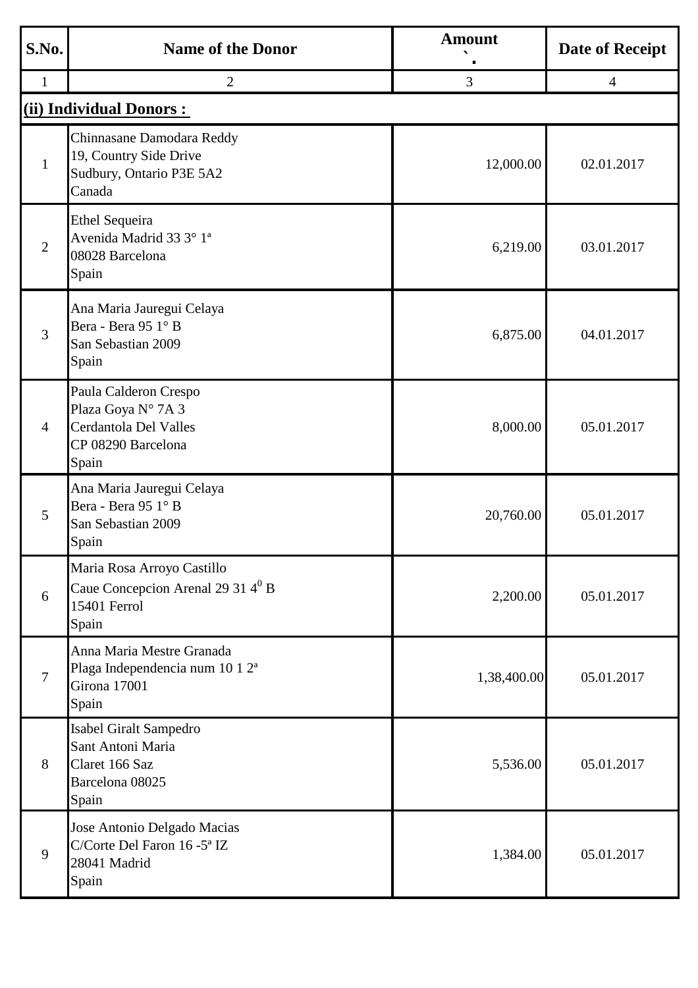| S.No.          | <b>Name of the Donor</b>                                                                            | <b>Amount</b> | <b>Date of Receipt</b> |
|----------------|-----------------------------------------------------------------------------------------------------|---------------|------------------------|
| $\mathbf{1}$   | $\overline{2}$                                                                                      | 3             | $\overline{4}$         |
|                | (ii) Individual Donors:                                                                             |               |                        |
| $\mathbf{1}$   | Chinnasane Damodara Reddy<br>19, Country Side Drive<br>Sudbury, Ontario P3E 5A2<br>Canada           | 12,000.00     | 02.01.2017             |
| $\overline{2}$ | <b>Ethel Sequeira</b><br>Avenida Madrid 33 3° 1 <sup>ª</sup><br>08028 Barcelona<br>Spain            | 6,219.00      | 03.01.2017             |
| 3              | Ana Maria Jauregui Celaya<br>Bera - Bera 95 1° B<br>San Sebastian 2009<br>Spain                     | 6,875.00      | 04.01.2017             |
| $\overline{4}$ | Paula Calderon Crespo<br>Plaza Goya Nº 7A 3<br>Cerdantola Del Valles<br>CP 08290 Barcelona<br>Spain | 8,000.00      | 05.01.2017             |
| 5              | Ana Maria Jauregui Celaya<br>Bera - Bera 95 1° B<br>San Sebastian 2009<br>Spain                     | 20,760.00     | 05.01.2017             |
| 6              | Maria Rosa Arroyo Castillo<br>Caue Concepcion Arenal 29 31 $4^0$ B<br>15401 Ferrol<br>Spain         | 2,200.00      | 05.01.2017             |
| $\overline{7}$ | Anna Maria Mestre Granada<br>Plaga Independencia num 10 1 2 <sup>ª</sup><br>Girona 17001<br>Spain   | 1,38,400.00   | 05.01.2017             |
| 8              | Isabel Giralt Sampedro<br>Sant Antoni Maria<br>Claret 166 Saz<br>Barcelona 08025<br>Spain           | 5,536.00      | 05.01.2017             |
| 9              | Jose Antonio Delgado Macias<br>C/Corte Del Faron 16 -5 <sup>ª</sup> IZ<br>28041 Madrid<br>Spain     | 1,384.00      | 05.01.2017             |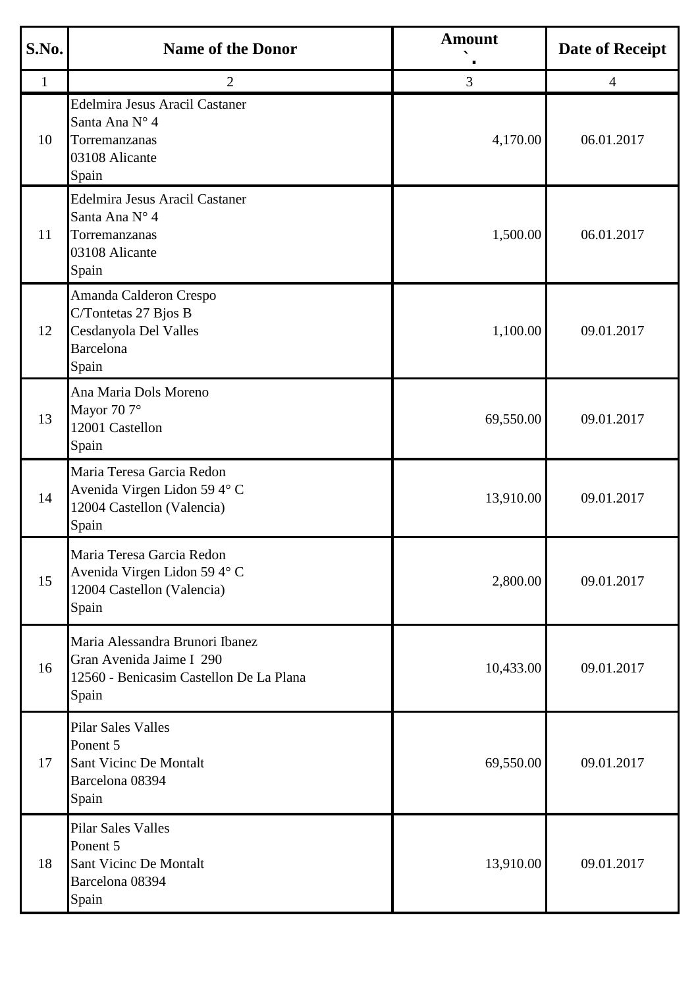| S.No.        | <b>Name of the Donor</b>                                                                                        | <b>Amount</b> | <b>Date of Receipt</b> |
|--------------|-----------------------------------------------------------------------------------------------------------------|---------------|------------------------|
| $\mathbf{1}$ | 2                                                                                                               | 3             | 4                      |
| 10           | <b>Edelmira Jesus Aracil Castaner</b><br>Santa Ana N° 4<br>Torremanzanas<br>03108 Alicante<br>Spain             | 4,170.00      | 06.01.2017             |
| 11           | <b>Edelmira Jesus Aracil Castaner</b><br>Santa Ana N° 4<br>Torremanzanas<br>03108 Alicante<br>Spain             | 1,500.00      | 06.01.2017             |
| 12           | Amanda Calderon Crespo<br>C/Tontetas 27 Bjos B<br>Cesdanyola Del Valles<br><b>Barcelona</b><br>Spain            | 1,100.00      | 09.01.2017             |
| 13           | Ana Maria Dols Moreno<br>Mayor 70 7°<br>12001 Castellon<br>Spain                                                | 69,550.00     | 09.01.2017             |
| 14           | Maria Teresa Garcia Redon<br>Avenida Virgen Lidon 59 4° C<br>12004 Castellon (Valencia)<br>Spain                | 13,910.00     | 09.01.2017             |
| 15           | Maria Teresa Garcia Redon<br>Avenida Virgen Lidon 59 4° C<br>12004 Castellon (Valencia)<br>Spain                | 2,800.00      | 09.01.2017             |
| 16           | Maria Alessandra Brunori Ibanez<br>Gran Avenida Jaime I 290<br>12560 - Benicasim Castellon De La Plana<br>Spain | 10,433.00     | 09.01.2017             |
| 17           | <b>Pilar Sales Valles</b><br>Ponent 5<br>Sant Vicinc De Montalt<br>Barcelona 08394<br>Spain                     | 69,550.00     | 09.01.2017             |
| 18           | <b>Pilar Sales Valles</b><br>Ponent 5<br><b>Sant Vicinc De Montalt</b><br>Barcelona 08394<br>Spain              | 13,910.00     | 09.01.2017             |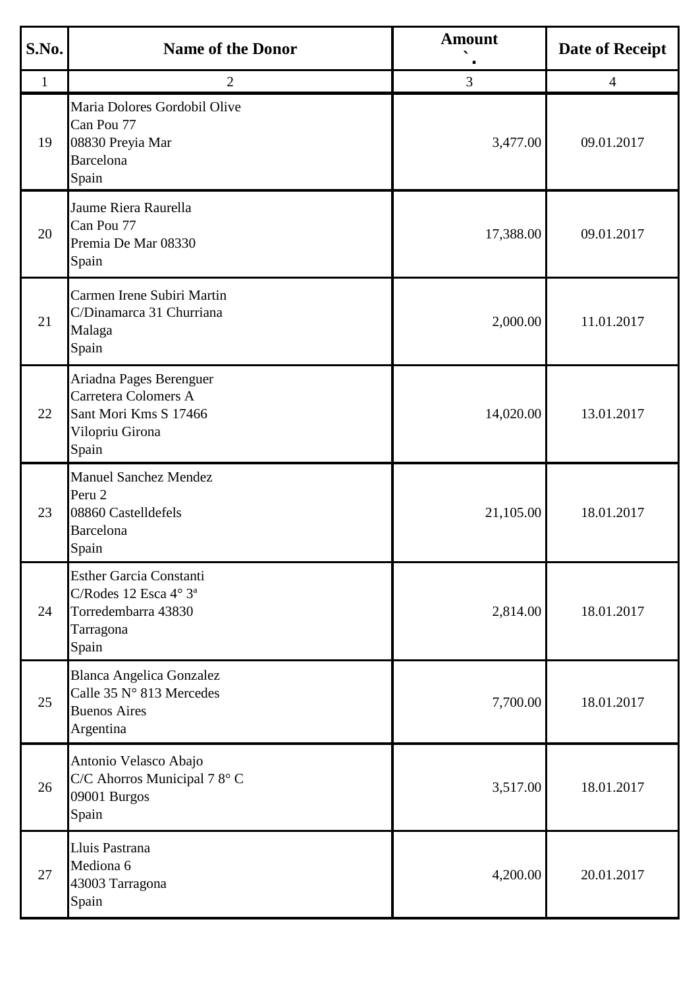| S.No.        | <b>Name of the Donor</b>                                                                                         | <b>Amount</b> | <b>Date of Receipt</b> |
|--------------|------------------------------------------------------------------------------------------------------------------|---------------|------------------------|
| $\mathbf{1}$ | $\overline{2}$                                                                                                   | 3             | $\overline{4}$         |
| 19           | Maria Dolores Gordobil Olive<br>Can Pou 77<br>08830 Preyia Mar<br><b>Barcelona</b><br>Spain                      | 3,477.00      | 09.01.2017             |
| 20           | Jaume Riera Raurella<br>Can Pou 77<br>Premia De Mar 08330<br>Spain                                               | 17,388.00     | 09.01.2017             |
| 21           | Carmen Irene Subiri Martin<br>C/Dinamarca 31 Churriana<br>Malaga<br>Spain                                        | 2,000.00      | 11.01.2017             |
| 22           | Ariadna Pages Berenguer<br><b>Carretera Colomers A</b><br>Sant Mori Kms S 17466<br>Vilopriu Girona<br>Spain      | 14,020.00     | 13.01.2017             |
| 23           | <b>Manuel Sanchez Mendez</b><br>Peru 2<br>08860 Castelldefels<br>Barcelona<br>Spain                              | 21,105.00     | 18.01.2017             |
| 24           | <b>Esther Garcia Constanti</b><br>C/Rodes 12 Esca 4° 3 <sup>ª</sup><br>Torredembarra 43830<br>Tarragona<br>Spain | 2,814.00      | 18.01.2017             |
| 25           | <b>Blanca Angelica Gonzalez</b><br>Calle 35 N° 813 Mercedes<br><b>Buenos Aires</b><br>Argentina                  | 7,700.00      | 18.01.2017             |
| 26           | Antonio Velasco Abajo<br>C/C Ahorros Municipal 78° C<br>09001 Burgos<br>Spain                                    | 3,517.00      | 18.01.2017             |
| 27           | Lluis Pastrana<br>Mediona 6<br>43003 Tarragona<br>Spain                                                          | 4,200.00      | 20.01.2017             |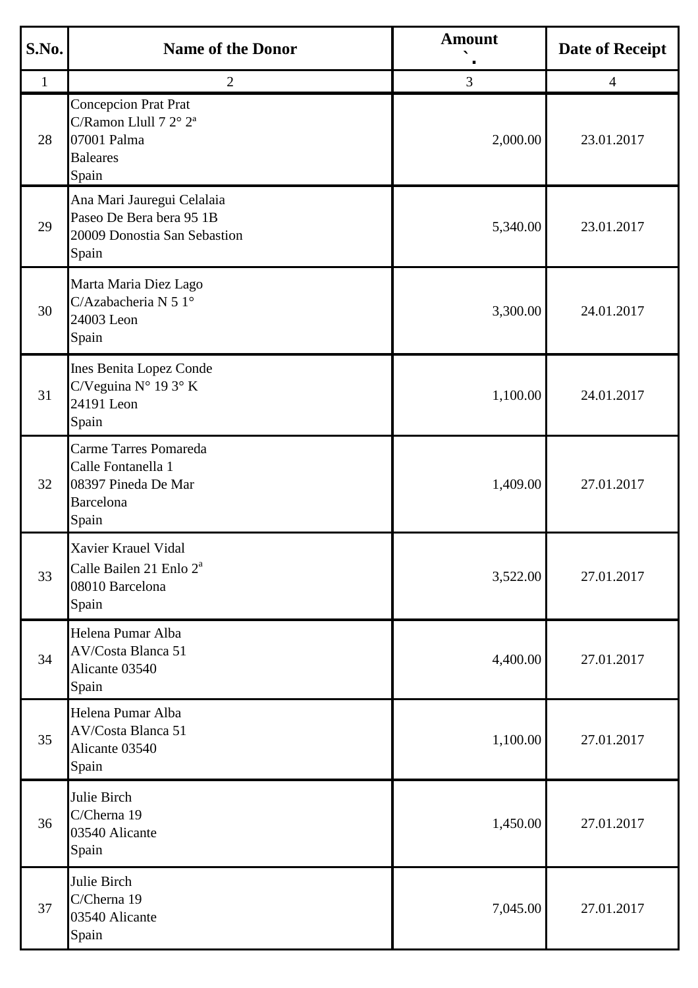| S.No.        | <b>Name of the Donor</b>                                                                                    | <b>Amount</b>  | <b>Date of Receipt</b> |
|--------------|-------------------------------------------------------------------------------------------------------------|----------------|------------------------|
| $\mathbf{1}$ | 2                                                                                                           | $\overline{3}$ | $\overline{4}$         |
| 28           | <b>Concepcion Prat Prat</b><br>C/Ramon Llull 7 2° 2 <sup>ª</sup><br>07001 Palma<br><b>Baleares</b><br>Spain | 2,000.00       | 23.01.2017             |
| 29           | Ana Mari Jauregui Celalaia<br>Paseo De Bera bera 95 1B<br>20009 Donostia San Sebastion<br>Spain             | 5,340.00       | 23.01.2017             |
| 30           | Marta Maria Diez Lago<br>C/Azabacheria N 5 1°<br>24003 Leon<br>Spain                                        | 3,300.00       | 24.01.2017             |
| 31           | Ines Benita Lopez Conde<br>C/Veguina N° 193°K<br>24191 Leon<br>Spain                                        | 1,100.00       | 24.01.2017             |
| 32           | Carme Tarres Pomareda<br>Calle Fontanella 1<br>08397 Pineda De Mar<br><b>Barcelona</b><br>Spain             | 1,409.00       | 27.01.2017             |
| 33           | Xavier Krauel Vidal<br>Calle Bailen 21 Enlo 2 <sup>ª</sup><br>08010 Barcelona<br>Spain                      | 3,522.00       | 27.01.2017             |
| 34           | Helena Pumar Alba<br>AV/Costa Blanca 51<br>Alicante 03540<br>Spain                                          | 4,400.00       | 27.01.2017             |
| 35           | Helena Pumar Alba<br>AV/Costa Blanca 51<br>Alicante 03540<br>Spain                                          | 1,100.00       | 27.01.2017             |
| 36           | Julie Birch<br>C/Cherna 19<br>03540 Alicante<br>Spain                                                       | 1,450.00       | 27.01.2017             |
| 37           | Julie Birch<br>C/Cherna 19<br>03540 Alicante<br>Spain                                                       | 7,045.00       | 27.01.2017             |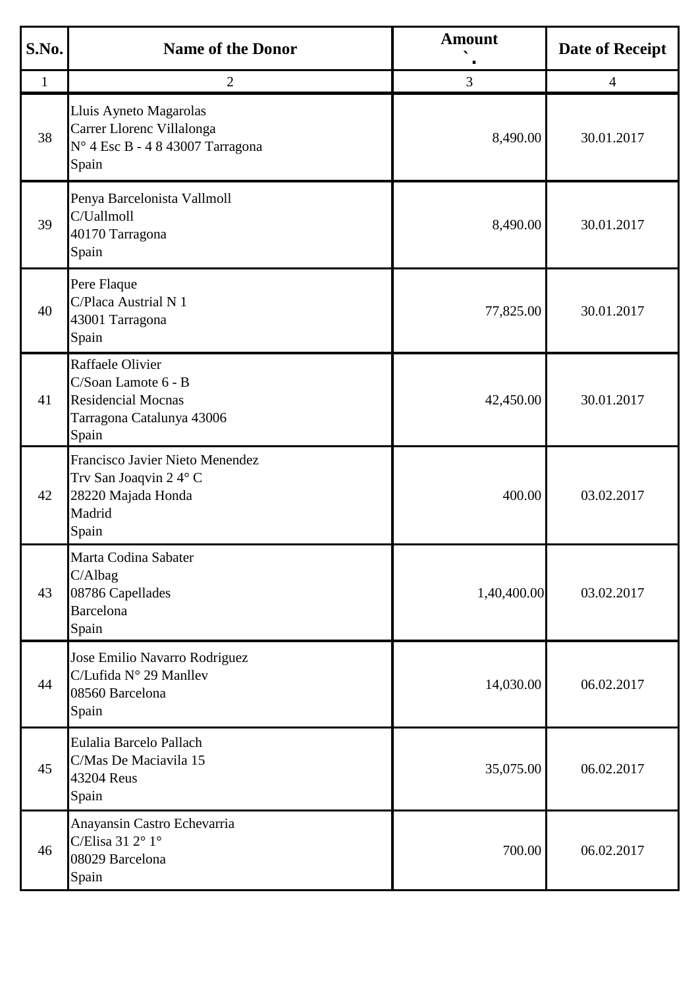| S.No.        | <b>Name of the Donor</b>                                                                                   | <b>Amount</b> | <b>Date of Receipt</b> |
|--------------|------------------------------------------------------------------------------------------------------------|---------------|------------------------|
| $\mathbf{1}$ | $\overline{2}$                                                                                             | 3             | 4                      |
| 38           | Lluis Ayneto Magarolas<br>Carrer Llorenc Villalonga<br>N° 4 Esc B - 4 8 43007 Tarragona<br>Spain           | 8,490.00      | 30.01.2017             |
| 39           | Penya Barcelonista Vallmoll<br>C/Uallmoll<br>40170 Tarragona<br>Spain                                      | 8,490.00      | 30.01.2017             |
| 40           | Pere Flaque<br>C/Placa Austrial N 1<br>43001 Tarragona<br>Spain                                            | 77,825.00     | 30.01.2017             |
| 41           | Raffaele Olivier<br>C/Soan Lamote 6 - B<br><b>Residencial Mocnas</b><br>Tarragona Catalunya 43006<br>Spain | 42,450.00     | 30.01.2017             |
| 42           | Francisco Javier Nieto Menendez<br>Trv San Joaqvin 24° C<br>28220 Majada Honda<br>Madrid<br>Spain          | 400.00        | 03.02.2017             |
| 43           | Marta Codina Sabater<br>C/Albag<br>08786 Capellades<br><b>Barcelona</b><br>Spain                           | 1,40,400.00   | 03.02.2017             |
| 44           | Jose Emilio Navarro Rodriguez<br>C/Lufida N° 29 Manllev<br>08560 Barcelona<br>Spain                        | 14,030.00     | 06.02.2017             |
| 45           | Eulalia Barcelo Pallach<br>C/Mas De Maciavila 15<br>43204 Reus<br>Spain                                    | 35,075.00     | 06.02.2017             |
| 46           | Anayansin Castro Echevarria<br>C/Elisa 31 2° 1°<br>08029 Barcelona<br>Spain                                | 700.00        | 06.02.2017             |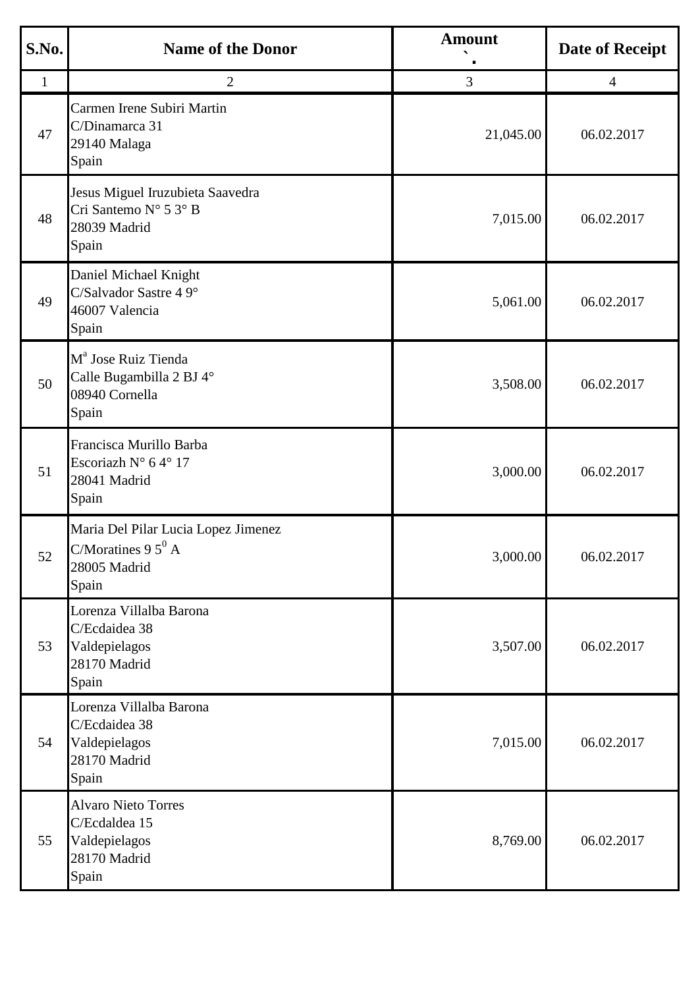| S.No.        | <b>Name of the Donor</b>                                                               | <b>Amount</b> | <b>Date of Receipt</b> |
|--------------|----------------------------------------------------------------------------------------|---------------|------------------------|
| $\mathbf{1}$ | $\overline{2}$                                                                         | 3             | $\overline{4}$         |
| 47           | Carmen Irene Subiri Martin<br>C/Dinamarca 31<br>29140 Malaga<br>Spain                  | 21,045.00     | 06.02.2017             |
| 48           | Jesus Miguel Iruzubieta Saavedra<br>Cri Santemo N° 5 3° B<br>28039 Madrid<br>Spain     | 7,015.00      | 06.02.2017             |
| 49           | Daniel Michael Knight<br>C/Salvador Sastre 4 9°<br>46007 Valencia<br>Spain             | 5,061.00      | 06.02.2017             |
| 50           | M <sup>a</sup> Jose Ruiz Tienda<br>Calle Bugambilla 2 BJ 4°<br>08940 Cornella<br>Spain | 3,508.00      | 06.02.2017             |
| 51           | Francisca Murillo Barba<br>Escoriazh N° 64° 17<br>28041 Madrid<br>Spain                | 3,000.00      | 06.02.2017             |
| 52           | Maria Del Pilar Lucia Lopez Jimenez<br>C/Moratines 9 $5^0$ A<br>28005 Madrid<br>Spain  | 3,000.00      | 06.02.2017             |
| 53           | Lorenza Villalba Barona<br>C/Ecdaidea 38<br>Valdepielagos<br>28170 Madrid<br>Spain     | 3,507.00      | 06.02.2017             |
| 54           | Lorenza Villalba Barona<br>C/Ecdaidea 38<br>Valdepielagos<br>28170 Madrid<br>Spain     | 7,015.00      | 06.02.2017             |
| 55           | <b>Alvaro Nieto Torres</b><br>C/Ecdaldea 15<br>Valdepielagos<br>28170 Madrid<br>Spain  | 8,769.00      | 06.02.2017             |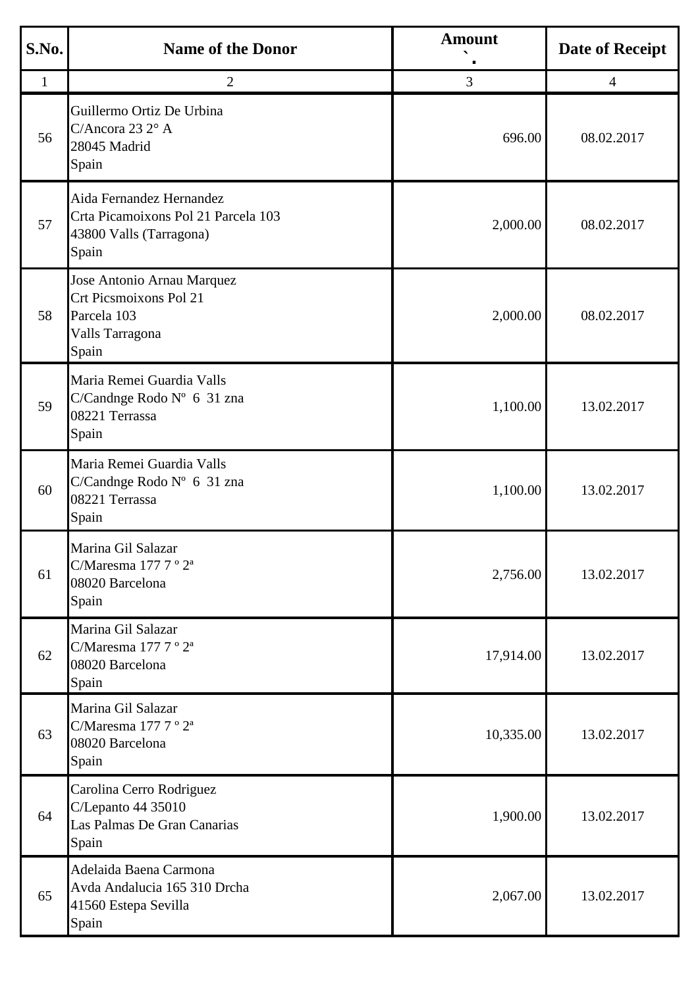| S.No.        | <b>Name of the Donor</b>                                                                               | <b>Amount</b> | <b>Date of Receipt</b> |
|--------------|--------------------------------------------------------------------------------------------------------|---------------|------------------------|
| $\mathbf{1}$ | $\overline{2}$                                                                                         | 3             | $\overline{4}$         |
| 56           | Guillermo Ortiz De Urbina<br>C/Ancora 23 2° A<br>28045 Madrid<br>Spain                                 | 696.00        | 08.02.2017             |
| 57           | Aida Fernandez Hernandez<br>Crta Picamoixons Pol 21 Parcela 103<br>43800 Valls (Tarragona)<br>Spain    | 2,000.00      | 08.02.2017             |
| 58           | Jose Antonio Arnau Marquez<br><b>Crt Picsmoixons Pol 21</b><br>Parcela 103<br>Valls Tarragona<br>Spain | 2,000.00      | 08.02.2017             |
| 59           | Maria Remei Guardia Valls<br>C/Candnge Rodo Nº 6 31 zna<br>08221 Terrassa<br>Spain                     | 1,100.00      | 13.02.2017             |
| 60           | Maria Remei Guardia Valls<br>C/Candnge Rodo Nº 6 31 zna<br>08221 Terrassa<br>Spain                     | 1,100.00      | 13.02.2017             |
| 61           | Marina Gil Salazar<br>C/Maresma 177 7 ° 2 <sup>a</sup><br>08020 Barcelona<br>Spain                     | 2,756.00      | 13.02.2017             |
| 62           | Marina Gil Salazar<br>C/Maresma $1777^{\circ}2^{\circ}$<br>08020 Barcelona<br>Spain                    | 17,914.00     | 13.02.2017             |
| 63           | Marina Gil Salazar<br>C/Maresma 177 7 ° 2 <sup>a</sup><br>08020 Barcelona<br>Spain                     | 10,335.00     | 13.02.2017             |
| 64           | Carolina Cerro Rodriguez<br>C/Lepanto 44 35010<br>Las Palmas De Gran Canarias<br>Spain                 | 1,900.00      | 13.02.2017             |
| 65           | Adelaida Baena Carmona<br>Avda Andalucia 165 310 Drcha<br>41560 Estepa Sevilla<br>Spain                | 2,067.00      | 13.02.2017             |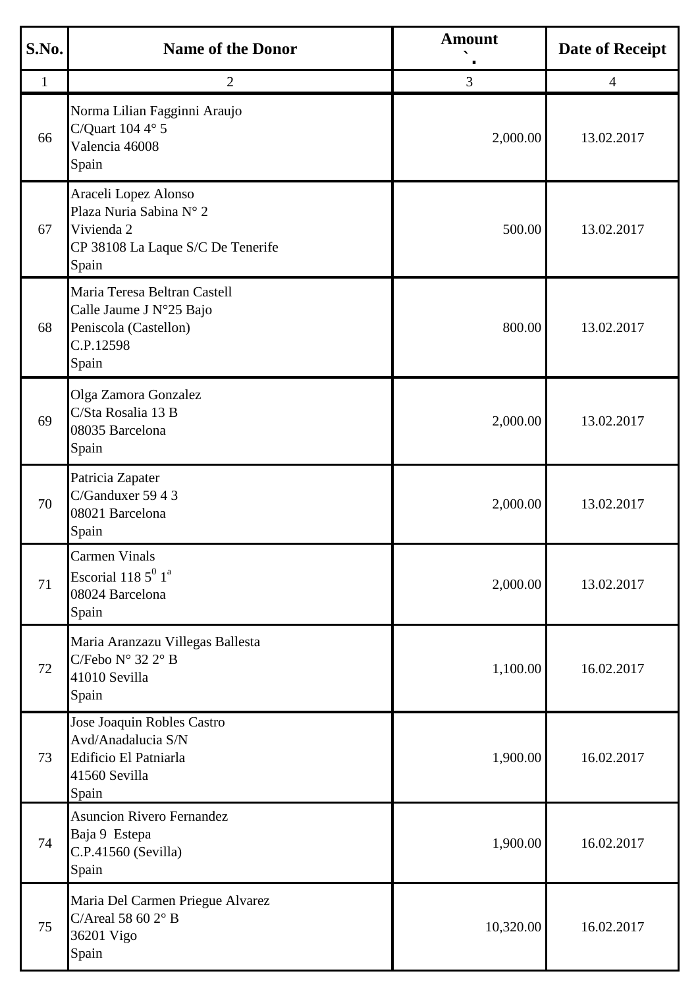| S.No.        | <b>Name of the Donor</b>                                                                                    | <b>Amount</b> | <b>Date of Receipt</b> |
|--------------|-------------------------------------------------------------------------------------------------------------|---------------|------------------------|
| $\mathbf{1}$ | $\overline{2}$                                                                                              | 3             | $\overline{4}$         |
| 66           | Norma Lilian Fagginni Araujo<br>C/Quart $1044^\circ$ 5<br>Valencia 46008<br>Spain                           | 2,000.00      | 13.02.2017             |
| 67           | Araceli Lopez Alonso<br>Plaza Nuria Sabina N° 2<br>Vivienda 2<br>CP 38108 La Laque S/C De Tenerife<br>Spain | 500.00        | 13.02.2017             |
| 68           | Maria Teresa Beltran Castell<br>Calle Jaume J N°25 Bajo<br>Peniscola (Castellon)<br>C.P.12598<br>Spain      | 800.00        | 13.02.2017             |
| 69           | Olga Zamora Gonzalez<br>C/Sta Rosalia 13 B<br>08035 Barcelona<br>Spain                                      | 2,000.00      | 13.02.2017             |
| 70           | Patricia Zapater<br>C/Ganduxer 59 4 3<br>08021 Barcelona<br>Spain                                           | 2,000.00      | 13.02.2017             |
| 71           | <b>Carmen Vinals</b><br>Escorial 118 $5^0$ 1 <sup>a</sup><br>08024 Barcelona<br>Spain                       | 2,000.00      | 13.02.2017             |
| 72           | Maria Aranzazu Villegas Ballesta<br>C/Febo $N^{\circ}$ 32 $2^{\circ}$ B<br>41010 Sevilla<br>Spain           | 1,100.00      | 16.02.2017             |
| 73           | Jose Joaquin Robles Castro<br>Avd/Anadalucia S/N<br>Edificio El Patniarla<br>41560 Sevilla<br>Spain         | 1,900.00      | 16.02.2017             |
| 74           | <b>Asuncion Rivero Fernandez</b><br>Baja 9 Estepa<br>C.P.41560 (Sevilla)<br>Spain                           | 1,900.00      | 16.02.2017             |
| 75           | Maria Del Carmen Priegue Alvarez<br>C/Areal 58 60 $2^{\circ}$ B<br>36201 Vigo<br>Spain                      | 10,320.00     | 16.02.2017             |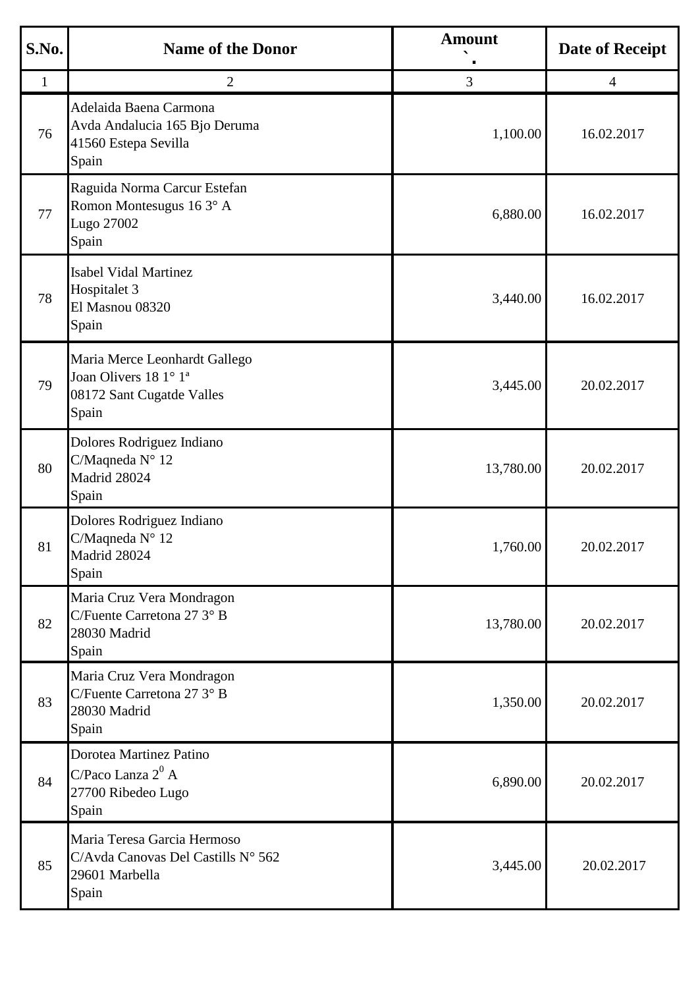| S.No.        | <b>Name of the Donor</b>                                                                                 | <b>Amount</b> | <b>Date of Receipt</b> |
|--------------|----------------------------------------------------------------------------------------------------------|---------------|------------------------|
| $\mathbf{1}$ | $\overline{2}$                                                                                           | 3             | $\overline{4}$         |
| 76           | Adelaida Baena Carmona<br>Avda Andalucia 165 Bjo Deruma<br>41560 Estepa Sevilla<br>Spain                 | 1,100.00      | 16.02.2017             |
| 77           | Raguida Norma Carcur Estefan<br>Romon Montesugus 16 3° A<br>Lugo 27002<br>Spain                          | 6,880.00      | 16.02.2017             |
| 78           | <b>Isabel Vidal Martinez</b><br>Hospitalet 3<br>El Masnou 08320<br>Spain                                 | 3,440.00      | 16.02.2017             |
| 79           | Maria Merce Leonhardt Gallego<br>Joan Olivers 18 1° 1 <sup>ª</sup><br>08172 Sant Cugatde Valles<br>Spain | 3,445.00      | 20.02.2017             |
| 80           | Dolores Rodriguez Indiano<br>C/Maqneda N° 12<br>Madrid 28024<br>Spain                                    | 13,780.00     | 20.02.2017             |
| 81           | Dolores Rodriguez Indiano<br>C/Maqneda N° 12<br>Madrid 28024<br>Spain                                    | 1,760.00      | 20.02.2017             |
| 82           | Maria Cruz Vera Mondragon<br>C/Fuente Carretona 27 3° B<br>28030 Madrid<br>Spain                         | 13,780.00     | 20.02.2017             |
| 83           | Maria Cruz Vera Mondragon<br>C/Fuente Carretona 27 3° B<br>28030 Madrid<br>Spain                         | 1,350.00      | 20.02.2017             |
| 84           | Dorotea Martinez Patino<br>C/Paco Lanza $2^0$ A<br>27700 Ribedeo Lugo<br>Spain                           | 6,890.00      | 20.02.2017             |
| 85           | Maria Teresa Garcia Hermoso<br>C/Avda Canovas Del Castills Nº 562<br>29601 Marbella<br>Spain             | 3,445.00      | 20.02.2017             |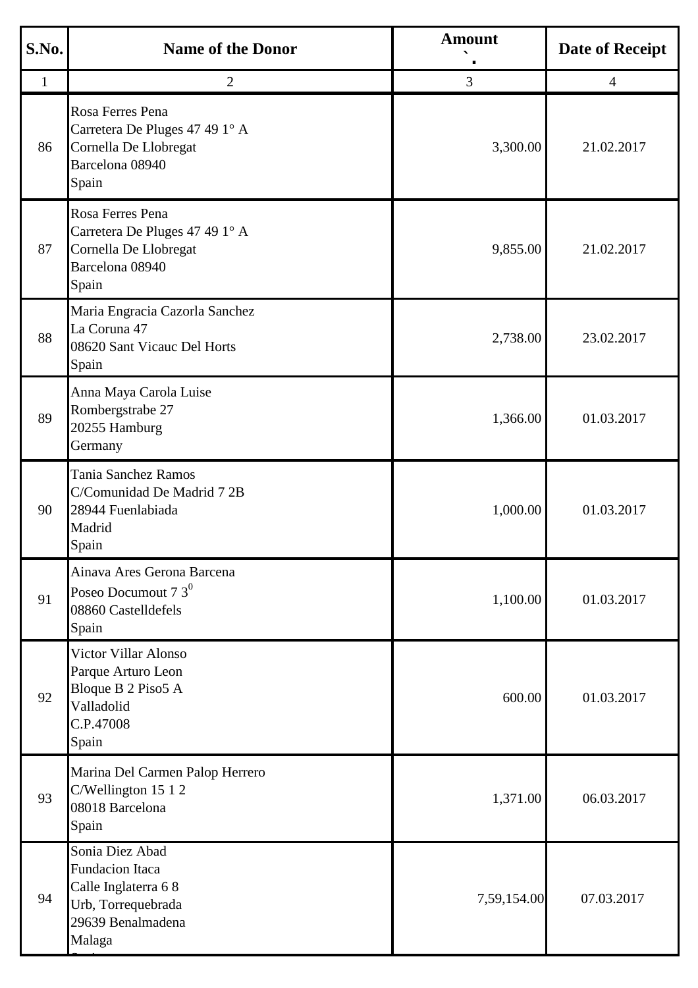| S.No.        | <b>Name of the Donor</b>                                                                                              | <b>Amount</b> | <b>Date of Receipt</b> |
|--------------|-----------------------------------------------------------------------------------------------------------------------|---------------|------------------------|
| $\mathbf{1}$ | $\overline{2}$                                                                                                        | 3             | $\overline{4}$         |
| 86           | Rosa Ferres Pena<br>Carretera De Pluges 47 49 1° A<br>Cornella De Llobregat<br>Barcelona 08940<br>Spain               | 3,300.00      | 21.02.2017             |
| 87           | Rosa Ferres Pena<br>Carretera De Pluges 47 49 1° A<br>Cornella De Llobregat<br>Barcelona 08940<br>Spain               | 9,855.00      | 21.02.2017             |
| 88           | Maria Engracia Cazorla Sanchez<br>La Coruna 47<br>08620 Sant Vicauc Del Horts<br>Spain                                | 2,738.00      | 23.02.2017             |
| 89           | Anna Maya Carola Luise<br>Rombergstrabe 27<br>20255 Hamburg<br>Germany                                                | 1,366.00      | 01.03.2017             |
| 90           | <b>Tania Sanchez Ramos</b><br>C/Comunidad De Madrid 7 2B<br>28944 Fuenlabiada<br>Madrid<br>Spain                      | 1,000.00      | 01.03.2017             |
| 91           | Ainava Ares Gerona Barcena<br>Poseo Documout $73^0$<br>08860 Castelldefels<br>Spain                                   | 1,100.00      | 01.03.2017             |
| 92           | <b>Victor Villar Alonso</b><br>Parque Arturo Leon<br>Bloque B 2 Piso5 A<br>Valladolid<br>C.P.47008<br>Spain           | 600.00        | 01.03.2017             |
| 93           | Marina Del Carmen Palop Herrero<br>C/Wellington 15 1 2<br>08018 Barcelona<br>Spain                                    | 1,371.00      | 06.03.2017             |
| 94           | Sonia Diez Abad<br><b>Fundacion Itaca</b><br>Calle Inglaterra 68<br>Urb, Torrequebrada<br>29639 Benalmadena<br>Malaga | 7,59,154.00   | 07.03.2017             |